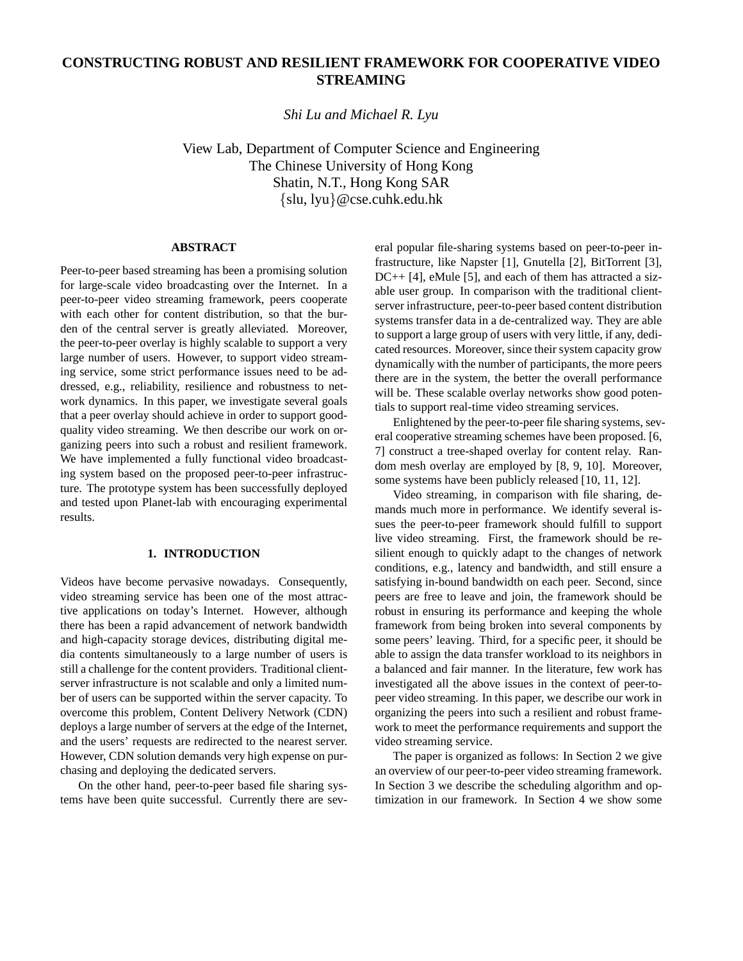# **CONSTRUCTING ROBUST AND RESILIENT FRAMEWORK FOR COOPERATIVE VIDEO STREAMING**

*Shi Lu and Michael R. Lyu*

View Lab, Department of Computer Science and Engineering The Chinese University of Hong Kong Shatin, N.T., Hong Kong SAR {slu, lyu}@cse.cuhk.edu.hk

## **ABSTRACT**

Peer-to-peer based streaming has been a promising solution for large-scale video broadcasting over the Internet. In a peer-to-peer video streaming framework, peers cooperate with each other for content distribution, so that the burden of the central server is greatly alleviated. Moreover, the peer-to-peer overlay is highly scalable to support a very large number of users. However, to support video streaming service, some strict performance issues need to be addressed, e.g., reliability, resilience and robustness to network dynamics. In this paper, we investigate several goals that a peer overlay should achieve in order to support goodquality video streaming. We then describe our work on organizing peers into such a robust and resilient framework. We have implemented a fully functional video broadcasting system based on the proposed peer-to-peer infrastructure. The prototype system has been successfully deployed and tested upon Planet-lab with encouraging experimental results.

## **1. INTRODUCTION**

Videos have become pervasive nowadays. Consequently, video streaming service has been one of the most attractive applications on today's Internet. However, although there has been a rapid advancement of network bandwidth and high-capacity storage devices, distributing digital media contents simultaneously to a large number of users is still a challenge for the content providers. Traditional clientserver infrastructure is not scalable and only a limited number of users can be supported within the server capacity. To overcome this problem, Content Delivery Network (CDN) deploys a large number of servers at the edge of the Internet, and the users' requests are redirected to the nearest server. However, CDN solution demands very high expense on purchasing and deploying the dedicated servers.

On the other hand, peer-to-peer based file sharing systems have been quite successful. Currently there are several popular file-sharing systems based on peer-to-peer infrastructure, like Napster [1], Gnutella [2], BitTorrent [3], DC++ [4], eMule [5], and each of them has attracted a sizable user group. In comparison with the traditional clientserver infrastructure, peer-to-peer based content distribution systems transfer data in a de-centralized way. They are able to support a large group of users with very little, if any, dedicated resources. Moreover, since their system capacity grow dynamically with the number of participants, the more peers there are in the system, the better the overall performance will be. These scalable overlay networks show good potentials to support real-time video streaming services.

Enlightened by the peer-to-peer file sharing systems, several cooperative streaming schemes have been proposed. [6, 7] construct a tree-shaped overlay for content relay. Random mesh overlay are employed by [8, 9, 10]. Moreover, some systems have been publicly released [10, 11, 12].

Video streaming, in comparison with file sharing, demands much more in performance. We identify several issues the peer-to-peer framework should fulfill to support live video streaming. First, the framework should be resilient enough to quickly adapt to the changes of network conditions, e.g., latency and bandwidth, and still ensure a satisfying in-bound bandwidth on each peer. Second, since peers are free to leave and join, the framework should be robust in ensuring its performance and keeping the whole framework from being broken into several components by some peers' leaving. Third, for a specific peer, it should be able to assign the data transfer workload to its neighbors in a balanced and fair manner. In the literature, few work has investigated all the above issues in the context of peer-topeer video streaming. In this paper, we describe our work in organizing the peers into such a resilient and robust framework to meet the performance requirements and support the video streaming service.

The paper is organized as follows: In Section 2 we give an overview of our peer-to-peer video streaming framework. In Section 3 we describe the scheduling algorithm and optimization in our framework. In Section 4 we show some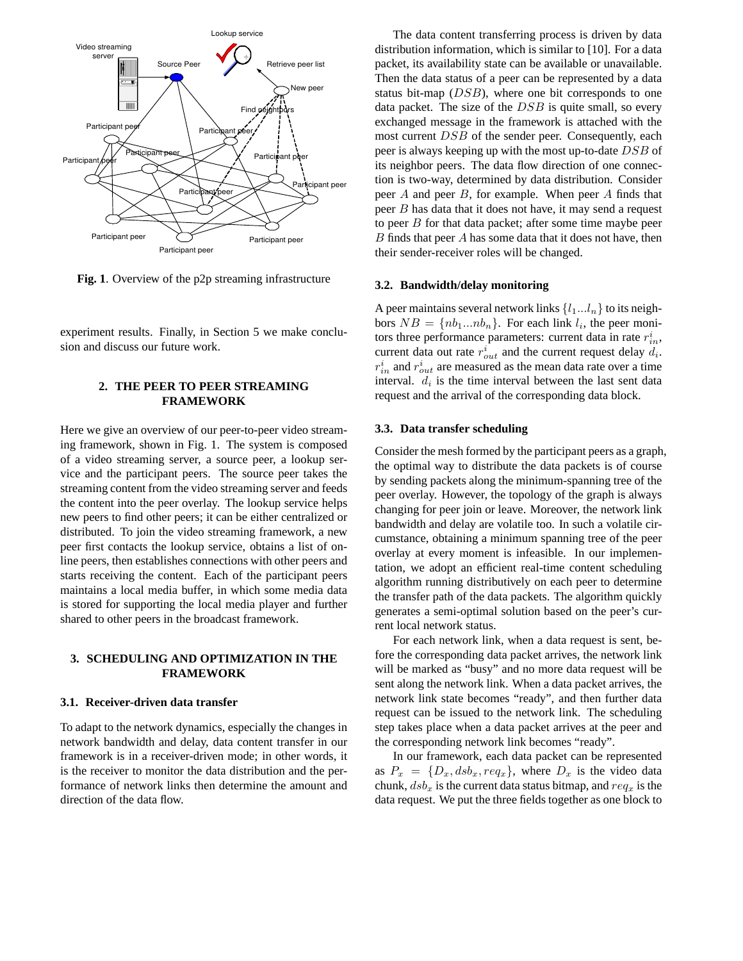

**Fig. 1**. Overview of the p2p streaming infrastructure

experiment results. Finally, in Section 5 we make conclusion and discuss our future work.

# **2. THE PEER TO PEER STREAMING FRAMEWORK**

Here we give an overview of our peer-to-peer video streaming framework, shown in Fig. 1. The system is composed of a video streaming server, a source peer, a lookup service and the participant peers. The source peer takes the streaming content from the video streaming server and feeds the content into the peer overlay. The lookup service helps new peers to find other peers; it can be either centralized or distributed. To join the video streaming framework, a new peer first contacts the lookup service, obtains a list of online peers, then establishes connections with other peers and starts receiving the content. Each of the participant peers maintains a local media buffer, in which some media data is stored for supporting the local media player and further shared to other peers in the broadcast framework.

# **3. SCHEDULING AND OPTIMIZATION IN THE FRAMEWORK**

## **3.1. Receiver-driven data transfer**

To adapt to the network dynamics, especially the changes in network bandwidth and delay, data content transfer in our framework is in a receiver-driven mode; in other words, it is the receiver to monitor the data distribution and the performance of network links then determine the amount and direction of the data flow.

The data content transferring process is driven by data distribution information, which is similar to [10]. For a data packet, its availability state can be available or unavailable. Then the data status of a peer can be represented by a data status bit-map (DSB), where one bit corresponds to one data packet. The size of the  $DSB$  is quite small, so every exchanged message in the framework is attached with the most current DSB of the sender peer. Consequently, each peer is always keeping up with the most up-to-date DSB of its neighbor peers. The data flow direction of one connection is two-way, determined by data distribution. Consider peer A and peer B, for example. When peer A finds that peer B has data that it does not have, it may send a request to peer B for that data packet; after some time maybe peer  $B$  finds that peer  $A$  has some data that it does not have, then their sender-receiver roles will be changed.

## **3.2. Bandwidth/delay monitoring**

A peer maintains several network links  $\{l_1...l_n\}$  to its neighbors  $NB = \{nb_1...nb_n\}$ . For each link  $l_i$ , the peer monitors three performance parameters: current data in rate  $r_{in}^{i}$ , current data out rate  $r_{out}^i$  and the current request delay  $d_i$ .  $r_{in}^i$  and  $r_{out}^i$  are measured as the mean data rate over a time interval.  $d_i$  is the time interval between the last sent data request and the arrival of the corresponding data block.

#### **3.3. Data transfer scheduling**

Consider the mesh formed by the participant peers as a graph, the optimal way to distribute the data packets is of course by sending packets along the minimum-spanning tree of the peer overlay. However, the topology of the graph is always changing for peer join or leave. Moreover, the network link bandwidth and delay are volatile too. In such a volatile circumstance, obtaining a minimum spanning tree of the peer overlay at every moment is infeasible. In our implementation, we adopt an efficient real-time content scheduling algorithm running distributively on each peer to determine the transfer path of the data packets. The algorithm quickly generates a semi-optimal solution based on the peer's current local network status.

For each network link, when a data request is sent, before the corresponding data packet arrives, the network link will be marked as "busy" and no more data request will be sent along the network link. When a data packet arrives, the network link state becomes "ready", and then further data request can be issued to the network link. The scheduling step takes place when a data packet arrives at the peer and the corresponding network link becomes "ready".

In our framework, each data packet can be represented as  $P_x = \{D_x, dsb_x, req_x\}$ , where  $D_x$  is the video data chunk,  $dsb_x$  is the current data status bitmap, and  $req_x$  is the data request. We put the three fields together as one block to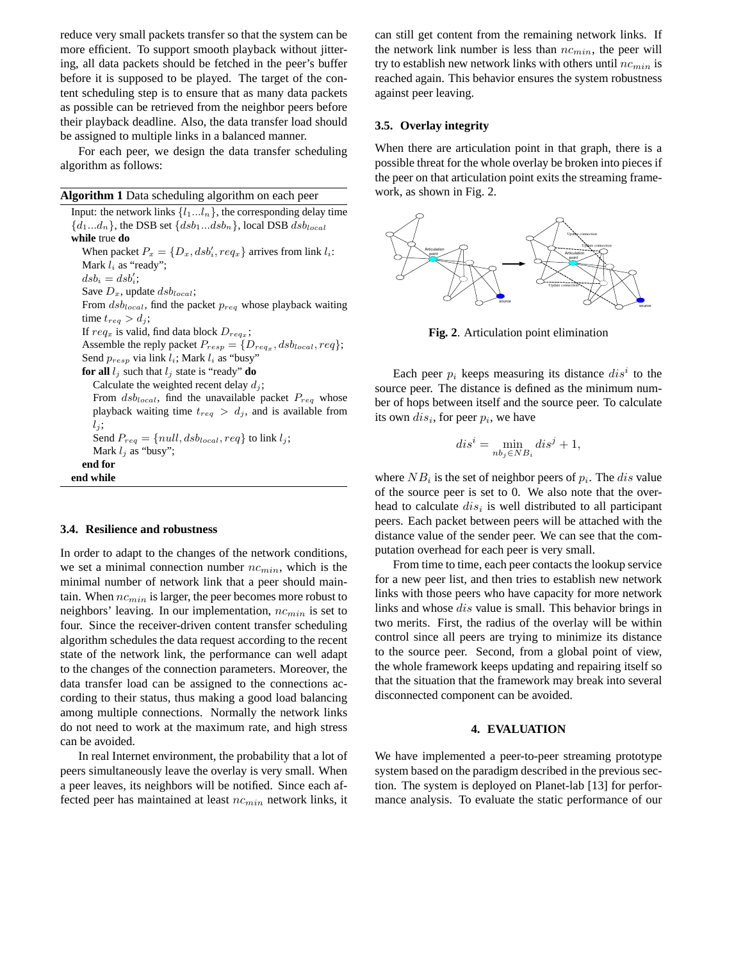reduce very small packets transfer so that the system can be more efficient. To support smooth playback without jittering, all data packets should be fetched in the peer's buffer before it is supposed to be played. The target of the content scheduling step is to ensure that as many data packets as possible can be retrieved from the neighbor peers before their playback deadline. Also, the data transfer load should be assigned to multiple links in a balanced manner.

For each peer, we design the data transfer scheduling algorithm as follows:

**Algorithm 1** Data scheduling algorithm on each peer

Input: the network links  $\{l_1...l_n\}$ , the corresponding delay time  $\{d_1...d_n\}$ , the DSB set  $\{dsb_1...dsb_n\}$ , local DSB  $dsb_{local}$ **while** true **do** When packet  $P_x = \{D_x, dsb'_i, req_x\}$  arrives from link  $l_i$ : Mark  $l_i$  as "ready";  $dsb_i = dsb_i';$ Save  $D_x$ , update  $dsb_{local}$ ; From  $dsb_{local}$ , find the packet  $p_{req}$  whose playback waiting time  $t_{req} > d_j$ ; If  $req_x$  is valid, find data block  $D_{req_x}$ ; Assemble the reply packet  $P_{resp} = \{D_{req_x}, dsb_{local}, req\};$ Send  $p_{resp}$  via link  $l_i$ ; Mark  $l_i$  as "busy" **for all**  $l_j$  such that  $l_j$  state is "ready" **do** Calculate the weighted recent delay  $d_j$ ; From  $dsb_{local}$ , find the unavailable packet  $P_{req}$  whose playback waiting time  $t_{req} > d_j$ , and is available from  $l_j$ ; Send  $P_{req} = \{null, dsb_{local}, req\}$  to link  $l_j;$ Mark  $l_i$  as "busy"; **end for end while**

### **3.4. Resilience and robustness**

In order to adapt to the changes of the network conditions, we set a minimal connection number  $nc_{min}$ , which is the minimal number of network link that a peer should maintain. When  $nc_{min}$  is larger, the peer becomes more robust to neighbors' leaving. In our implementation,  $nc_{min}$  is set to four. Since the receiver-driven content transfer scheduling algorithm schedules the data request according to the recent state of the network link, the performance can well adapt to the changes of the connection parameters. Moreover, the data transfer load can be assigned to the connections according to their status, thus making a good load balancing among multiple connections. Normally the network links do not need to work at the maximum rate, and high stress can be avoided.

In real Internet environment, the probability that a lot of peers simultaneously leave the overlay is very small. When a peer leaves, its neighbors will be notified. Since each affected peer has maintained at least  $nc_{min}$  network links, it

can still get content from the remaining network links. If the network link number is less than  $nc_{min}$ , the peer will try to establish new network links with others until  $nc_{min}$  is reached again. This behavior ensures the system robustness against peer leaving.

## **3.5. Overlay integrity**

When there are articulation point in that graph, there is a possible threat for the whole overlay be broken into pieces if the peer on that articulation point exits the streaming framework, as shown in Fig. 2.



**Fig. 2**. Articulation point elimination

Each peer  $p_i$  keeps measuring its distance  $dis^i$  to the source peer. The distance is defined as the minimum number of hops between itself and the source peer. To calculate its own  $dis_i$ , for peer  $p_i$ , we have

$$
dis^i = \min_{nb_j \in NB_i} dis^j + 1,
$$

where  $NB_i$  is the set of neighbor peers of  $p_i$ . The *dis* value of the source peer is set to 0. We also note that the overhead to calculate  $dis<sub>i</sub>$  is well distributed to all participant peers. Each packet between peers will be attached with the distance value of the sender peer. We can see that the computation overhead for each peer is very small.

From time to time, each peer contacts the lookup service for a new peer list, and then tries to establish new network links with those peers who have capacity for more network links and whose dis value is small. This behavior brings in two merits. First, the radius of the overlay will be within control since all peers are trying to minimize its distance to the source peer. Second, from a global point of view, the whole framework keeps updating and repairing itself so that the situation that the framework may break into several disconnected component can be avoided.

#### **4. EVALUATION**

We have implemented a peer-to-peer streaming prototype system based on the paradigm described in the previous section. The system is deployed on Planet-lab [13] for performance analysis. To evaluate the static performance of our